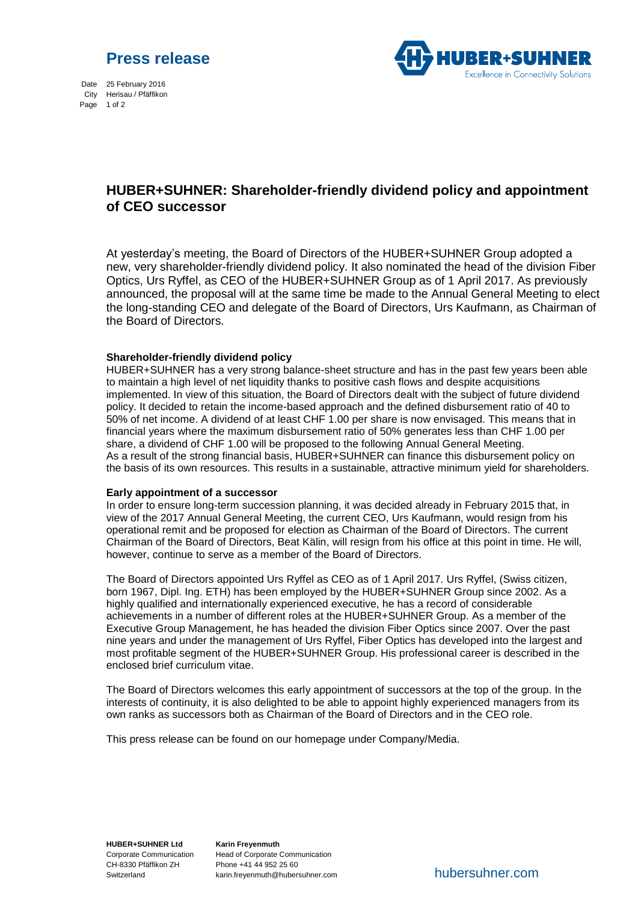



Date 25 February 2016 City Herisau / Pfäffikon Page 1 of 2

# **HUBER+SUHNER: Shareholder-friendly dividend policy and appointment of CEO successor**

At yesterday's meeting, the Board of Directors of the HUBER+SUHNER Group adopted a new, very shareholder-friendly dividend policy. It also nominated the head of the division Fiber Optics, Urs Ryffel, as CEO of the HUBER+SUHNER Group as of 1 April 2017. As previously announced, the proposal will at the same time be made to the Annual General Meeting to elect the long-standing CEO and delegate of the Board of Directors, Urs Kaufmann, as Chairman of the Board of Directors.

## **Shareholder-friendly dividend policy**

HUBER+SUHNER has a very strong balance-sheet structure and has in the past few years been able to maintain a high level of net liquidity thanks to positive cash flows and despite acquisitions implemented. In view of this situation, the Board of Directors dealt with the subject of future dividend policy. It decided to retain the income-based approach and the defined disbursement ratio of 40 to 50% of net income. A dividend of at least CHF 1.00 per share is now envisaged. This means that in financial years where the maximum disbursement ratio of 50% generates less than CHF 1.00 per share, a dividend of CHF 1.00 will be proposed to the following Annual General Meeting. As a result of the strong financial basis, HUBER+SUHNER can finance this disbursement policy on the basis of its own resources. This results in a sustainable, attractive minimum yield for shareholders.

### **Early appointment of a successor**

In order to ensure long-term succession planning, it was decided already in February 2015 that, in view of the 2017 Annual General Meeting, the current CEO, Urs Kaufmann, would resign from his operational remit and be proposed for election as Chairman of the Board of Directors. The current Chairman of the Board of Directors, Beat Kälin, will resign from his office at this point in time. He will, however, continue to serve as a member of the Board of Directors.

The Board of Directors appointed Urs Ryffel as CEO as of 1 April 2017. Urs Ryffel, (Swiss citizen, born 1967, Dipl. Ing. ETH) has been employed by the HUBER+SUHNER Group since 2002. As a highly qualified and internationally experienced executive, he has a record of considerable achievements in a number of different roles at the HUBER+SUHNER Group. As a member of the Executive Group Management, he has headed the division Fiber Optics since 2007. Over the past nine years and under the management of Urs Ryffel, Fiber Optics has developed into the largest and most profitable segment of the HUBER+SUHNER Group. His professional career is described in the enclosed brief curriculum vitae.

The Board of Directors welcomes this early appointment of successors at the top of the group. In the interests of continuity, it is also delighted to be able to appoint highly experienced managers from its own ranks as successors both as Chairman of the Board of Directors and in the CEO role.

This press release can be found on our homepage under Company/Media.

**HUBER+SUHNER Ltd** Corporate Communication CH-8330 Pfäffikon ZH Switzerland

**Karin Freyenmuth** Head of Corporate Communication Phone +41 44 952 25 60 karin.freyenmuth@hubersuhner.com

hubersuhner.com